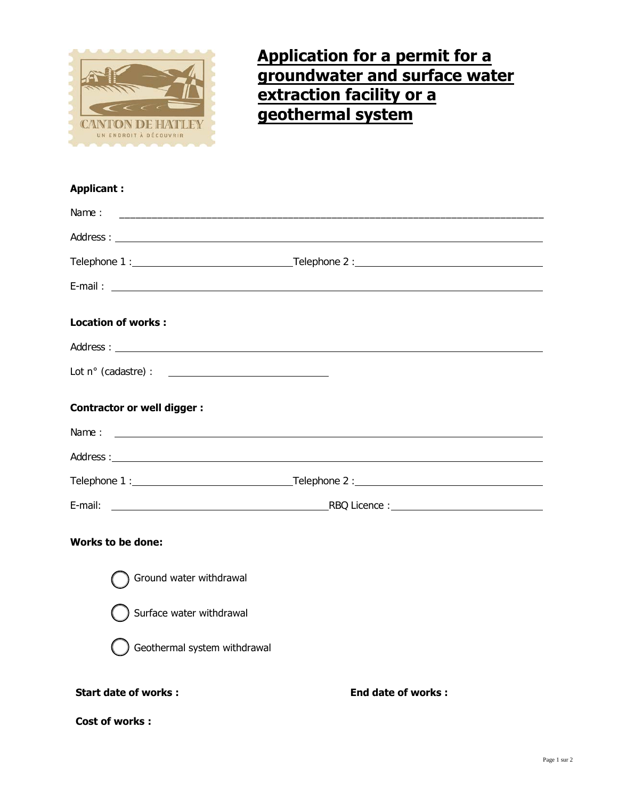

## **Application for a permit for a groundwater and surface water extraction facility or a geothermal system**

## **Applicant :**

| Name:<br><u> 1989 - Johann Stoff, amerikansk politiker (* 1908)</u> |                           |
|---------------------------------------------------------------------|---------------------------|
|                                                                     |                           |
|                                                                     |                           |
|                                                                     |                           |
| <b>Location of works:</b>                                           |                           |
|                                                                     |                           |
| <b>Contractor or well digger:</b>                                   |                           |
|                                                                     |                           |
|                                                                     |                           |
|                                                                     |                           |
|                                                                     |                           |
| <b>Works to be done:</b>                                            |                           |
| Ground water withdrawal                                             |                           |
| Surface water withdrawal                                            |                           |
| Geothermal system withdrawal                                        |                           |
| <b>Start date of works:</b>                                         | <b>End date of works:</b> |
| <b>Cost of works:</b>                                               |                           |